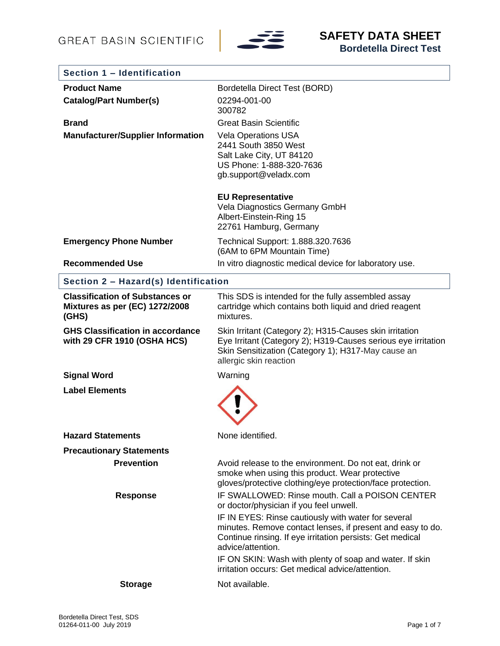

| Section 1 - Identification                                                        |                                                                                                                                                                                                                                                                                                                                                                                                                  |
|-----------------------------------------------------------------------------------|------------------------------------------------------------------------------------------------------------------------------------------------------------------------------------------------------------------------------------------------------------------------------------------------------------------------------------------------------------------------------------------------------------------|
| <b>Product Name</b>                                                               | Bordetella Direct Test (BORD)                                                                                                                                                                                                                                                                                                                                                                                    |
| <b>Catalog/Part Number(s)</b>                                                     | 02294-001-00<br>300782                                                                                                                                                                                                                                                                                                                                                                                           |
| <b>Brand</b>                                                                      | <b>Great Basin Scientific</b>                                                                                                                                                                                                                                                                                                                                                                                    |
| <b>Manufacturer/Supplier Information</b>                                          | <b>Vela Operations USA</b><br>2441 South 3850 West<br>Salt Lake City, UT 84120<br>US Phone: 1-888-320-7636<br>gb.support@veladx.com                                                                                                                                                                                                                                                                              |
|                                                                                   | <b>EU Representative</b><br>Vela Diagnostics Germany GmbH<br>Albert-Einstein-Ring 15<br>22761 Hamburg, Germany                                                                                                                                                                                                                                                                                                   |
| <b>Emergency Phone Number</b>                                                     | Technical Support: 1.888.320.7636<br>(6AM to 6PM Mountain Time)                                                                                                                                                                                                                                                                                                                                                  |
| <b>Recommended Use</b>                                                            | In vitro diagnostic medical device for laboratory use.                                                                                                                                                                                                                                                                                                                                                           |
| Section 2 - Hazard(s) Identification                                              |                                                                                                                                                                                                                                                                                                                                                                                                                  |
| <b>Classification of Substances or</b><br>Mixtures as per (EC) 1272/2008<br>(GHS) | This SDS is intended for the fully assembled assay<br>cartridge which contains both liquid and dried reagent<br>mixtures.                                                                                                                                                                                                                                                                                        |
| <b>GHS Classification in accordance</b><br>with 29 CFR 1910 (OSHA HCS)            | Skin Irritant (Category 2); H315-Causes skin irritation<br>Eye Irritant (Category 2); H319-Causes serious eye irritation<br>Skin Sensitization (Category 1); H317-May cause an<br>allergic skin reaction                                                                                                                                                                                                         |
| <b>Signal Word</b>                                                                | Warning                                                                                                                                                                                                                                                                                                                                                                                                          |
| <b>Label Elements</b>                                                             |                                                                                                                                                                                                                                                                                                                                                                                                                  |
| <b>Hazard Statements</b>                                                          | None identified.                                                                                                                                                                                                                                                                                                                                                                                                 |
| <b>Precautionary Statements</b>                                                   |                                                                                                                                                                                                                                                                                                                                                                                                                  |
| <b>Prevention</b>                                                                 | Avoid release to the environment. Do not eat, drink or<br>smoke when using this product. Wear protective<br>gloves/protective clothing/eye protection/face protection.                                                                                                                                                                                                                                           |
| <b>Response</b>                                                                   | IF SWALLOWED: Rinse mouth. Call a POISON CENTER<br>or doctor/physician if you feel unwell.<br>IF IN EYES: Rinse cautiously with water for several<br>minutes. Remove contact lenses, if present and easy to do.<br>Continue rinsing. If eye irritation persists: Get medical<br>advice/attention.<br>IF ON SKIN: Wash with plenty of soap and water. If skin<br>irritation occurs: Get medical advice/attention. |
| <b>Storage</b>                                                                    | Not available.                                                                                                                                                                                                                                                                                                                                                                                                   |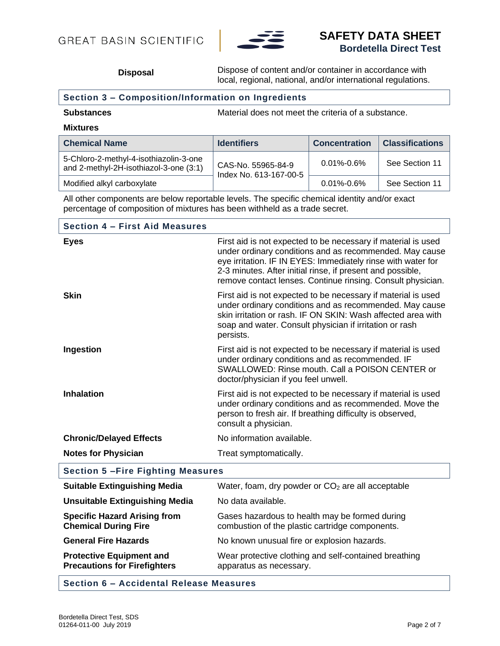

# **SAFETY DATA SHEET Bordetella Direct Test**

**Disposal** Dispose of content and/or container in accordance with local, regional, national, and/or international regulations.

## **Section 3 – Composition/Information on Ingredients**

#### **Mixtures**

| <b>Chemical Name</b>                                                             | <b>Identifiers</b>                           | <b>Concentration</b> | <b>Classifications</b> |
|----------------------------------------------------------------------------------|----------------------------------------------|----------------------|------------------------|
| 5-Chloro-2-methyl-4-isothiazolin-3-one<br>and 2-methyl-2H-isothiazol-3-one (3:1) | CAS-No. 55965-84-9<br>Index No. 613-167-00-5 | $0.01\% - 0.6\%$     | See Section 11         |
| Modified alkyl carboxylate                                                       |                                              | $0.01\% - 0.6\%$     | See Section 11         |

All other components are below reportable levels. The specific chemical identity and/or exact percentage of composition of mixtures has been withheld as a trade secret.

| <b>Section 4 - First Aid Measures</b>                                  |                                                                                                                                                                                                                                                                                                                       |
|------------------------------------------------------------------------|-----------------------------------------------------------------------------------------------------------------------------------------------------------------------------------------------------------------------------------------------------------------------------------------------------------------------|
| <b>Eyes</b>                                                            | First aid is not expected to be necessary if material is used<br>under ordinary conditions and as recommended. May cause<br>eye irritation. IF IN EYES: Immediately rinse with water for<br>2-3 minutes. After initial rinse, if present and possible,<br>remove contact lenses. Continue rinsing. Consult physician. |
| <b>Skin</b>                                                            | First aid is not expected to be necessary if material is used<br>under ordinary conditions and as recommended. May cause<br>skin irritation or rash. IF ON SKIN: Wash affected area with<br>soap and water. Consult physician if irritation or rash<br>persists.                                                      |
| Ingestion                                                              | First aid is not expected to be necessary if material is used<br>under ordinary conditions and as recommended. IF<br>SWALLOWED: Rinse mouth. Call a POISON CENTER or<br>doctor/physician if you feel unwell.                                                                                                          |
| <b>Inhalation</b>                                                      | First aid is not expected to be necessary if material is used<br>under ordinary conditions and as recommended. Move the<br>person to fresh air. If breathing difficulty is observed,<br>consult a physician.                                                                                                          |
| <b>Chronic/Delayed Effects</b>                                         | No information available.                                                                                                                                                                                                                                                                                             |
| <b>Notes for Physician</b>                                             | Treat symptomatically.                                                                                                                                                                                                                                                                                                |
| <b>Section 5-Fire Fighting Measures</b>                                |                                                                                                                                                                                                                                                                                                                       |
| <b>Suitable Extinguishing Media</b>                                    | Water, foam, dry powder or CO <sub>2</sub> are all acceptable                                                                                                                                                                                                                                                         |
| <b>Unsuitable Extinguishing Media</b>                                  | No data available.                                                                                                                                                                                                                                                                                                    |
| <b>Specific Hazard Arising from</b><br><b>Chemical During Fire</b>     | Gases hazardous to health may be formed during<br>combustion of the plastic cartridge components.                                                                                                                                                                                                                     |
| <b>General Fire Hazards</b>                                            | No known unusual fire or explosion hazards.                                                                                                                                                                                                                                                                           |
| <b>Protective Equipment and</b><br><b>Precautions for Firefighters</b> | Wear protective clothing and self-contained breathing<br>apparatus as necessary.                                                                                                                                                                                                                                      |
|                                                                        |                                                                                                                                                                                                                                                                                                                       |

### **Section 6 – Accidental Release Measures**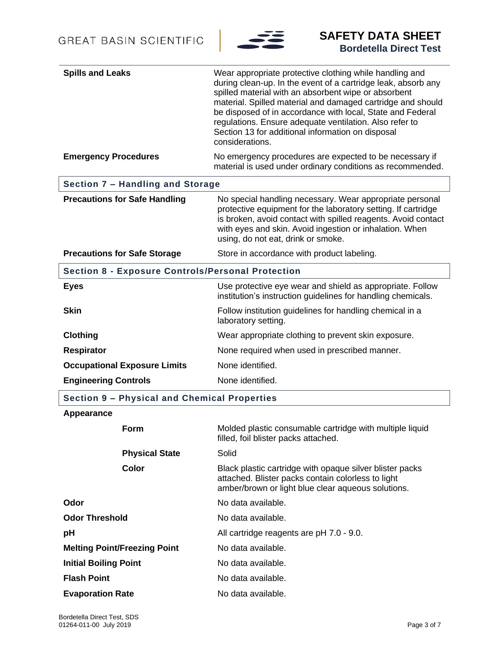

| <b>Spills and Leaks</b>                                  | Wear appropriate protective clothing while handling and<br>during clean-up. In the event of a cartridge leak, absorb any<br>spilled material with an absorbent wipe or absorbent<br>material. Spilled material and damaged cartridge and should<br>be disposed of in accordance with local, State and Federal<br>regulations. Ensure adequate ventilation. Also refer to<br>Section 13 for additional information on disposal<br>considerations. |  |
|----------------------------------------------------------|--------------------------------------------------------------------------------------------------------------------------------------------------------------------------------------------------------------------------------------------------------------------------------------------------------------------------------------------------------------------------------------------------------------------------------------------------|--|
| <b>Emergency Procedures</b>                              | No emergency procedures are expected to be necessary if<br>material is used under ordinary conditions as recommended.                                                                                                                                                                                                                                                                                                                            |  |
| Section 7 - Handling and Storage                         |                                                                                                                                                                                                                                                                                                                                                                                                                                                  |  |
| <b>Precautions for Safe Handling</b>                     | No special handling necessary. Wear appropriate personal<br>protective equipment for the laboratory setting. If cartridge<br>is broken, avoid contact with spilled reagents. Avoid contact<br>with eyes and skin. Avoid ingestion or inhalation. When<br>using, do not eat, drink or smoke.                                                                                                                                                      |  |
| <b>Precautions for Safe Storage</b>                      | Store in accordance with product labeling.                                                                                                                                                                                                                                                                                                                                                                                                       |  |
| <b>Section 8 - Exposure Controls/Personal Protection</b> |                                                                                                                                                                                                                                                                                                                                                                                                                                                  |  |
| <b>Eyes</b>                                              | Use protective eye wear and shield as appropriate. Follow<br>institution's instruction guidelines for handling chemicals.                                                                                                                                                                                                                                                                                                                        |  |
| <b>Skin</b>                                              | Follow institution guidelines for handling chemical in a<br>laboratory setting.                                                                                                                                                                                                                                                                                                                                                                  |  |
| <b>Clothing</b>                                          | Wear appropriate clothing to prevent skin exposure.                                                                                                                                                                                                                                                                                                                                                                                              |  |
| <b>Respirator</b>                                        | None required when used in prescribed manner.                                                                                                                                                                                                                                                                                                                                                                                                    |  |
| <b>Occupational Exposure Limits</b>                      | None identified.                                                                                                                                                                                                                                                                                                                                                                                                                                 |  |
| <b>Engineering Controls</b>                              | None identified.                                                                                                                                                                                                                                                                                                                                                                                                                                 |  |
| Section 9 - Physical and Chemical Properties             |                                                                                                                                                                                                                                                                                                                                                                                                                                                  |  |
| Appearance                                               |                                                                                                                                                                                                                                                                                                                                                                                                                                                  |  |
| Form                                                     | Molded plastic consumable cartridge with multiple liquid<br>filled, foil blister packs attached.                                                                                                                                                                                                                                                                                                                                                 |  |
| <b>Physical State</b>                                    | Solid                                                                                                                                                                                                                                                                                                                                                                                                                                            |  |
| Color                                                    | Black plastic cartridge with opaque silver blister packs<br>attached. Blister packs contain colorless to light<br>amber/brown or light blue clear aqueous solutions.                                                                                                                                                                                                                                                                             |  |
| Odor                                                     | No data available.                                                                                                                                                                                                                                                                                                                                                                                                                               |  |
| <b>Odor Threshold</b>                                    | No data available.                                                                                                                                                                                                                                                                                                                                                                                                                               |  |
| pH                                                       | All cartridge reagents are pH 7.0 - 9.0.                                                                                                                                                                                                                                                                                                                                                                                                         |  |
| <b>Melting Point/Freezing Point</b>                      | No data available.                                                                                                                                                                                                                                                                                                                                                                                                                               |  |
| <b>Initial Boiling Point</b>                             | No data available.                                                                                                                                                                                                                                                                                                                                                                                                                               |  |
| <b>Flash Point</b>                                       | No data available.                                                                                                                                                                                                                                                                                                                                                                                                                               |  |
| <b>Evaporation Rate</b>                                  | No data available.                                                                                                                                                                                                                                                                                                                                                                                                                               |  |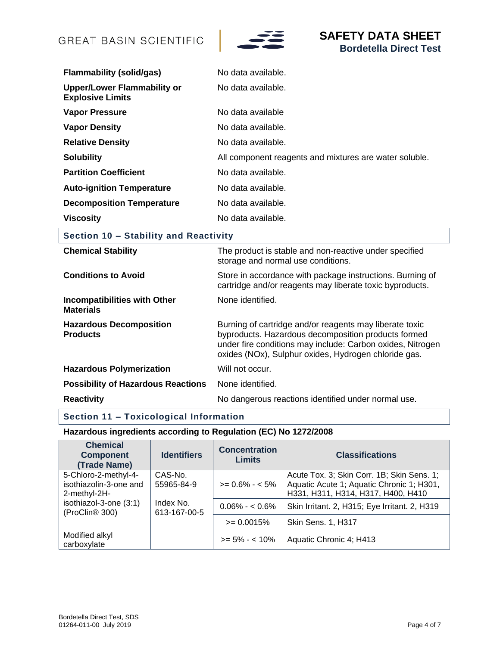

| <b>Flammability (solid/gas)</b>                               | No data available.                                     |
|---------------------------------------------------------------|--------------------------------------------------------|
| <b>Upper/Lower Flammability or</b><br><b>Explosive Limits</b> | No data available.                                     |
| <b>Vapor Pressure</b>                                         | No data available                                      |
| <b>Vapor Density</b>                                          | No data available.                                     |
| <b>Relative Density</b>                                       | No data available.                                     |
| <b>Solubility</b>                                             | All component reagents and mixtures are water soluble. |
| <b>Partition Coefficient</b>                                  | No data available.                                     |
| <b>Auto-ignition Temperature</b>                              | No data available.                                     |
| <b>Decomposition Temperature</b>                              | No data available.                                     |
| <b>Viscosity</b>                                              | No data available.                                     |

# **Section 10 – Stability and Reactivity**

| <b>Chemical Stability</b>                               | The product is stable and non-reactive under specified<br>storage and normal use conditions.                                                                                                                                         |
|---------------------------------------------------------|--------------------------------------------------------------------------------------------------------------------------------------------------------------------------------------------------------------------------------------|
| <b>Conditions to Avoid</b>                              | Store in accordance with package instructions. Burning of<br>cartridge and/or reagents may liberate toxic byproducts.                                                                                                                |
| <b>Incompatibilities with Other</b><br><b>Materials</b> | None identified.                                                                                                                                                                                                                     |
| <b>Hazardous Decomposition</b><br><b>Products</b>       | Burning of cartridge and/or reagents may liberate toxic<br>byproducts. Hazardous decomposition products formed<br>under fire conditions may include: Carbon oxides, Nitrogen<br>oxides (NOx), Sulphur oxides, Hydrogen chloride gas. |
| <b>Hazardous Polymerization</b>                         | Will not occur.                                                                                                                                                                                                                      |
| <b>Possibility of Hazardous Reactions</b>               | None identified.                                                                                                                                                                                                                     |
| <b>Reactivity</b>                                       | No dangerous reactions identified under normal use.                                                                                                                                                                                  |

# **Section 11 – Toxicological Information**

# **Hazardous ingredients according to Regulation (EC) No 1272/2008**

| <b>Chemical</b><br><b>Component</b><br>(Trade Name)            | <b>Identifiers</b>        | <b>Concentration</b><br><b>Limits</b> | <b>Classifications</b>                                                                                                        |
|----------------------------------------------------------------|---------------------------|---------------------------------------|-------------------------------------------------------------------------------------------------------------------------------|
| 5-Chloro-2-methyl-4-<br>isothiazolin-3-one and<br>2-methyl-2H- | CAS-No.<br>55965-84-9     | $>= 0.6\% - 5\%$                      | Acute Tox. 3; Skin Corr. 1B; Skin Sens. 1;<br>Aquatic Acute 1; Aquatic Chronic 1; H301,<br>H331, H311, H314, H317, H400, H410 |
| isothiazol-3-one (3:1)<br>(ProClin <sup>®</sup> 300)           | Index No.<br>613-167-00-5 | $0.06\% - 0.6\%$                      | Skin Irritant. 2, H315; Eye Irritant. 2, H319                                                                                 |
|                                                                |                           | $>= 0.0015%$                          | Skin Sens. 1, H317                                                                                                            |
| Modified alkyl<br>carboxylate                                  |                           | $>= 5\% - < 10\%$                     | Aquatic Chronic 4; H413                                                                                                       |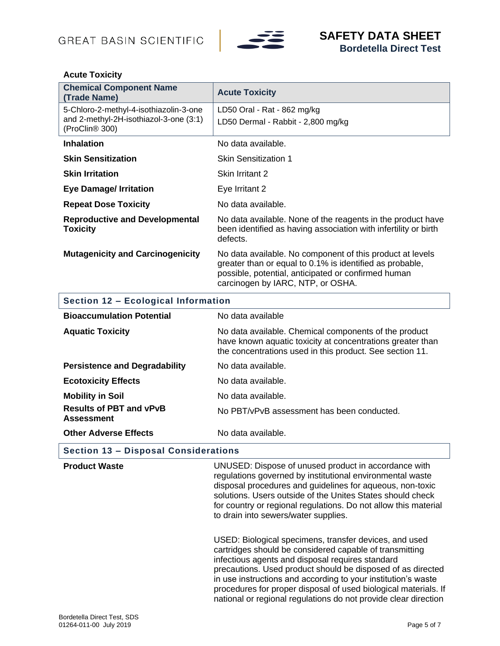

## **Acute Toxicity**

| <b>Chemical Component Name</b><br>(Trade Name)                                                                 | <b>Acute Toxicity</b>                                                                                                                                                                                             |  |
|----------------------------------------------------------------------------------------------------------------|-------------------------------------------------------------------------------------------------------------------------------------------------------------------------------------------------------------------|--|
| 5-Chloro-2-methyl-4-isothiazolin-3-one<br>and 2-methyl-2H-isothiazol-3-one (3:1)<br>(ProClin <sup>®</sup> 300) | LD50 Oral - Rat - 862 mg/kg<br>LD50 Dermal - Rabbit - 2,800 mg/kg                                                                                                                                                 |  |
| <b>Inhalation</b>                                                                                              | No data available.                                                                                                                                                                                                |  |
| <b>Skin Sensitization</b>                                                                                      | <b>Skin Sensitization 1</b>                                                                                                                                                                                       |  |
| <b>Skin Irritation</b>                                                                                         | Skin Irritant 2                                                                                                                                                                                                   |  |
| <b>Eye Damage/ Irritation</b>                                                                                  | Eye Irritant 2                                                                                                                                                                                                    |  |
| <b>Repeat Dose Toxicity</b>                                                                                    | No data available.                                                                                                                                                                                                |  |
| <b>Reproductive and Developmental</b><br><b>Toxicity</b>                                                       | No data available. None of the reagents in the product have<br>been identified as having association with infertility or birth<br>defects.                                                                        |  |
| <b>Mutagenicity and Carcinogenicity</b>                                                                        | No data available. No component of this product at levels<br>greater than or equal to 0.1% is identified as probable,<br>possible, potential, anticipated or confirmed human<br>carcinogen by IARC, NTP, or OSHA. |  |
| Section 12 - Ecological Information                                                                            |                                                                                                                                                                                                                   |  |
| <b>Bioaccumulation Potential</b>                                                                               | No data available                                                                                                                                                                                                 |  |
| <b>Aquatic Toxicity</b>                                                                                        | No data available. Chemical components of the product<br>have known aquatic toxicity at concentrations greater than<br>the concentrations used in this product. See section 11.                                   |  |
| <b>Persistence and Degradability</b>                                                                           | No data available.                                                                                                                                                                                                |  |
| <b>Ecotoxicity Effects</b>                                                                                     | No data available.                                                                                                                                                                                                |  |
| <b>Mobility in Soil</b>                                                                                        | No data available.                                                                                                                                                                                                |  |
| <b>Results of PBT and vPvB</b><br><b>Assessment</b>                                                            | No PBT/vPvB assessment has been conducted.                                                                                                                                                                        |  |
| <b>Other Adverse Effects</b>                                                                                   | No data available.                                                                                                                                                                                                |  |

**Section 13 – Disposal Considerations**

| <b>Product Waste</b> | UNUSED: Dispose of unused product in accordance with<br>regulations governed by institutional environmental waste<br>disposal procedures and guidelines for aqueous, non-toxic<br>solutions. Users outside of the Unites States should check<br>for country or regional regulations. Do not allow this material<br>to drain into sewers/water supplies.                                                                                     |
|----------------------|---------------------------------------------------------------------------------------------------------------------------------------------------------------------------------------------------------------------------------------------------------------------------------------------------------------------------------------------------------------------------------------------------------------------------------------------|
|                      | USED: Biological specimens, transfer devices, and used<br>cartridges should be considered capable of transmitting<br>infectious agents and disposal requires standard<br>precautions. Used product should be disposed of as directed<br>in use instructions and according to your institution's waste<br>procedures for proper disposal of used biological materials. If<br>national or regional regulations do not provide clear direction |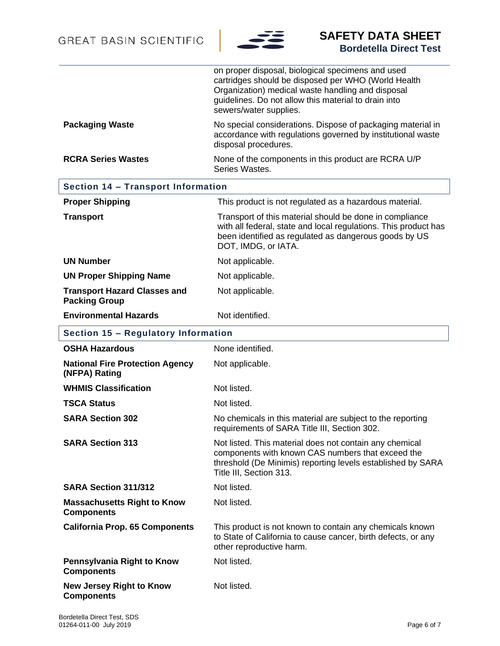

|                                                             | on proper disposal, biological specimens and used<br>cartridges should be disposed per WHO (World Health<br>Organization) medical waste handling and disposal<br>guidelines. Do not allow this material to drain into<br>sewers/water supplies. |
|-------------------------------------------------------------|-------------------------------------------------------------------------------------------------------------------------------------------------------------------------------------------------------------------------------------------------|
| <b>Packaging Waste</b>                                      | No special considerations. Dispose of packaging material in<br>accordance with regulations governed by institutional waste<br>disposal procedures.                                                                                              |
| <b>RCRA Series Wastes</b>                                   | None of the components in this product are RCRA U/P<br>Series Wastes.                                                                                                                                                                           |
| <b>Section 14 - Transport Information</b>                   |                                                                                                                                                                                                                                                 |
| <b>Proper Shipping</b>                                      | This product is not regulated as a hazardous material.                                                                                                                                                                                          |
| <b>Transport</b>                                            | Transport of this material should be done in compliance<br>with all federal, state and local regulations. This product has<br>been identified as regulated as dangerous goods by US<br>DOT, IMDG, or IATA.                                      |
| <b>UN Number</b>                                            | Not applicable.                                                                                                                                                                                                                                 |
| <b>UN Proper Shipping Name</b>                              | Not applicable.                                                                                                                                                                                                                                 |
| <b>Transport Hazard Classes and</b><br><b>Packing Group</b> | Not applicable.                                                                                                                                                                                                                                 |
| <b>Environmental Hazards</b>                                | Not identified.                                                                                                                                                                                                                                 |
| Section 15 - Regulatory Information                         |                                                                                                                                                                                                                                                 |
| <b>OSHA Hazardous</b>                                       | None identified.                                                                                                                                                                                                                                |
| <b>National Fire Protection Agency</b><br>(NFPA) Rating     | Not applicable.                                                                                                                                                                                                                                 |
| <b>WHMIS Classification</b>                                 | Not listed.                                                                                                                                                                                                                                     |
| <b>TSCA Status</b>                                          | Not listed.                                                                                                                                                                                                                                     |
| <b>SARA Section 302</b>                                     | No chemicals in this material are subject to the reporting<br>requirements of SARA Title III, Section 302.                                                                                                                                      |
| <b>SARA Section 313</b>                                     | Not listed. This material does not contain any chemical<br>components with known CAS numbers that exceed the<br>threshold (De Minimis) reporting levels established by SARA<br>Title III, Section 313.                                          |
| SARA Section 311/312                                        | Not listed.                                                                                                                                                                                                                                     |
| <b>Massachusetts Right to Know</b><br><b>Components</b>     | Not listed.                                                                                                                                                                                                                                     |
| <b>California Prop. 65 Components</b>                       | This product is not known to contain any chemicals known<br>to State of California to cause cancer, birth defects, or any<br>other reproductive harm.                                                                                           |
| Pennsylvania Right to Know<br><b>Components</b>             | Not listed.                                                                                                                                                                                                                                     |
| <b>New Jersey Right to Know</b><br><b>Components</b>        | Not listed.                                                                                                                                                                                                                                     |